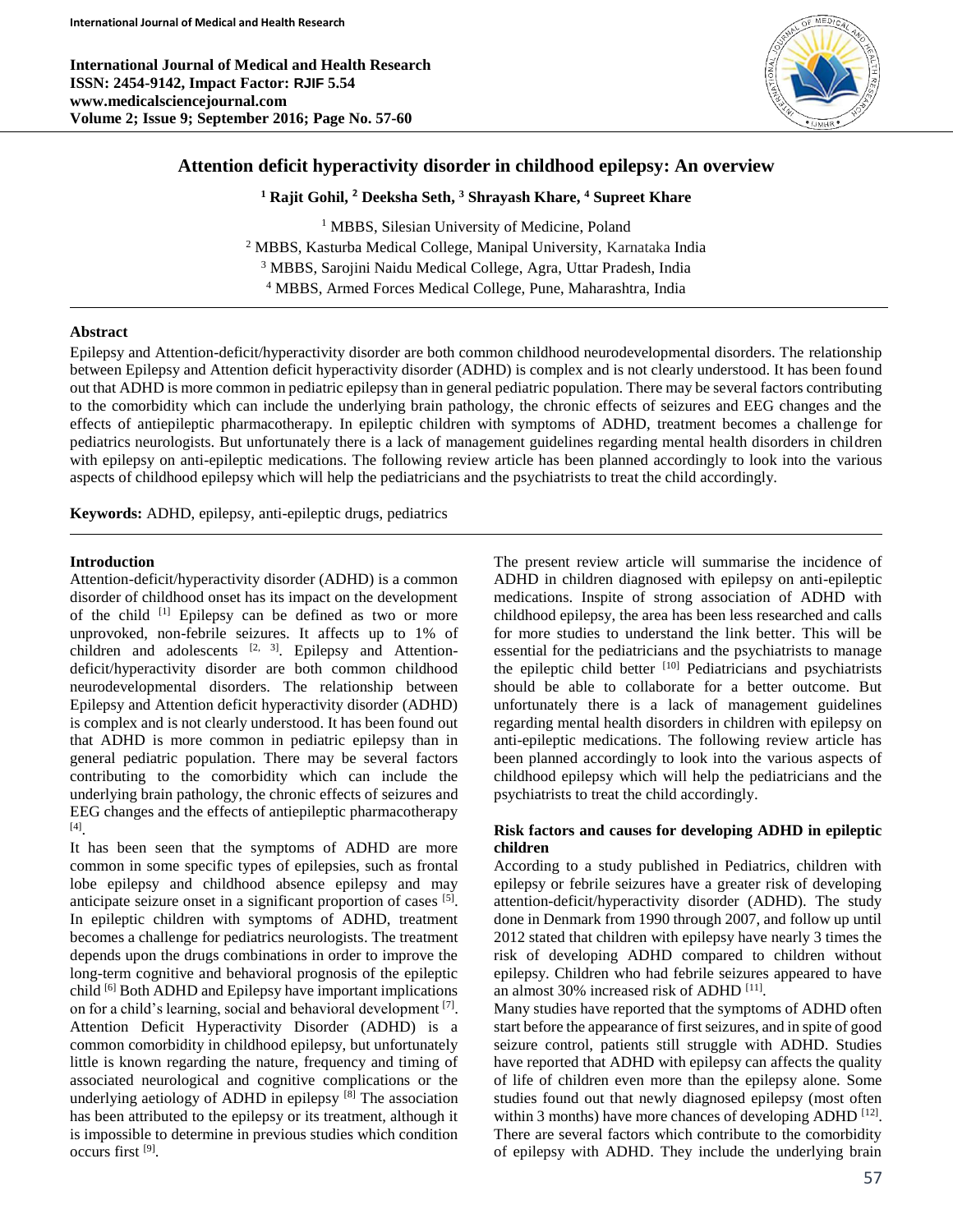**International Journal of Medical and Health Research ISSN: 2454-9142, Impact Factor: RJIF 5.54 www.medicalsciencejournal.com Volume 2; Issue 9; September 2016; Page No. 57-60**



# **Attention deficit hyperactivity disorder in childhood epilepsy: An overview**

**<sup>1</sup> Rajit Gohil, <sup>2</sup> Deeksha Seth, <sup>3</sup> Shrayash Khare, <sup>4</sup> Supreet Khare**

<sup>1</sup> MBBS, Silesian University of Medicine, Poland MBBS, Kasturba Medical College, Manipal University, Karnataka India MBBS, Sarojini Naidu Medical College, Agra, Uttar Pradesh, India MBBS, Armed Forces Medical College, Pune, Maharashtra, India

## **Abstract**

Epilepsy and Attention-deficit/hyperactivity disorder are both common childhood neurodevelopmental disorders. The relationship between Epilepsy and Attention deficit hyperactivity disorder (ADHD) is complex and is not clearly understood. It has been found out that ADHD is more common in pediatric epilepsy than in general pediatric population. There may be several factors contributing to the comorbidity which can include the underlying brain pathology, the chronic effects of seizures and EEG changes and the effects of antiepileptic pharmacotherapy. In epileptic children with symptoms of ADHD, treatment becomes a challenge for pediatrics neurologists. But unfortunately there is a lack of management guidelines regarding mental health disorders in children with epilepsy on anti-epileptic medications. The following review article has been planned accordingly to look into the various aspects of childhood epilepsy which will help the pediatricians and the psychiatrists to treat the child accordingly.

**Keywords:** ADHD, epilepsy, anti-epileptic drugs, pediatrics

## **Introduction**

Attention-deficit/hyperactivity disorder (ADHD) is a common disorder of childhood onset has its impact on the development of the child [1] Epilepsy can be defined as two or more unprovoked, non-febrile seizures. It affects up to 1% of children and adolescents  $[2, 3]$ . Epilepsy and Attentiondeficit/hyperactivity disorder are both common childhood neurodevelopmental disorders. The relationship between Epilepsy and Attention deficit hyperactivity disorder (ADHD) is complex and is not clearly understood. It has been found out that ADHD is more common in pediatric epilepsy than in general pediatric population. There may be several factors contributing to the comorbidity which can include the underlying brain pathology, the chronic effects of seizures and EEG changes and the effects of antiepileptic pharmacotherapy [4] .

It has been seen that the symptoms of ADHD are more common in some specific types of epilepsies, such as frontal lobe epilepsy and childhood absence epilepsy and may anticipate seizure onset in a significant proportion of cases [5]. In epileptic children with symptoms of ADHD, treatment becomes a challenge for pediatrics neurologists. The treatment depends upon the drugs combinations in order to improve the long-term cognitive and behavioral prognosis of the epileptic child [6] Both ADHD and Epilepsy have important implications on for a child's learning, social and behavioral development [7]. Attention Deficit Hyperactivity Disorder (ADHD) is a common comorbidity in childhood epilepsy, but unfortunately little is known regarding the nature, frequency and timing of associated neurological and cognitive complications or the underlying aetiology of ADHD in epilepsy  $[8]$  The association has been attributed to the epilepsy or its treatment, although it is impossible to determine in previous studies which condition occurs first <sup>[9]</sup>.

The present review article will summarise the incidence of ADHD in children diagnosed with epilepsy on anti-epileptic medications. Inspite of strong association of ADHD with childhood epilepsy, the area has been less researched and calls for more studies to understand the link better. This will be essential for the pediatricians and the psychiatrists to manage the epileptic child better  $[10]$  Pediatricians and psychiatrists should be able to collaborate for a better outcome. But unfortunately there is a lack of management guidelines regarding mental health disorders in children with epilepsy on anti-epileptic medications. The following review article has been planned accordingly to look into the various aspects of childhood epilepsy which will help the pediatricians and the psychiatrists to treat the child accordingly.

## **Risk factors and causes for developing ADHD in epileptic children**

According to a study published in Pediatrics, children with epilepsy or febrile seizures have a greater risk of developing attention-deficit/hyperactivity disorder (ADHD). The study done in Denmark from 1990 through 2007, and follow up until 2012 stated that children with epilepsy have nearly 3 times the risk of developing ADHD compared to children without epilepsy. Children who had febrile seizures appeared to have an almost 30% increased risk of ADHD [11].

Many studies have reported that the symptoms of ADHD often start before the appearance of first seizures, and in spite of good seizure control, patients still struggle with ADHD. Studies have reported that ADHD with epilepsy can affects the quality of life of children even more than the epilepsy alone. Some studies found out that newly diagnosed epilepsy (most often within 3 months) have more chances of developing ADHD [12]. There are several factors which contribute to the comorbidity of epilepsy with ADHD. They include the underlying brain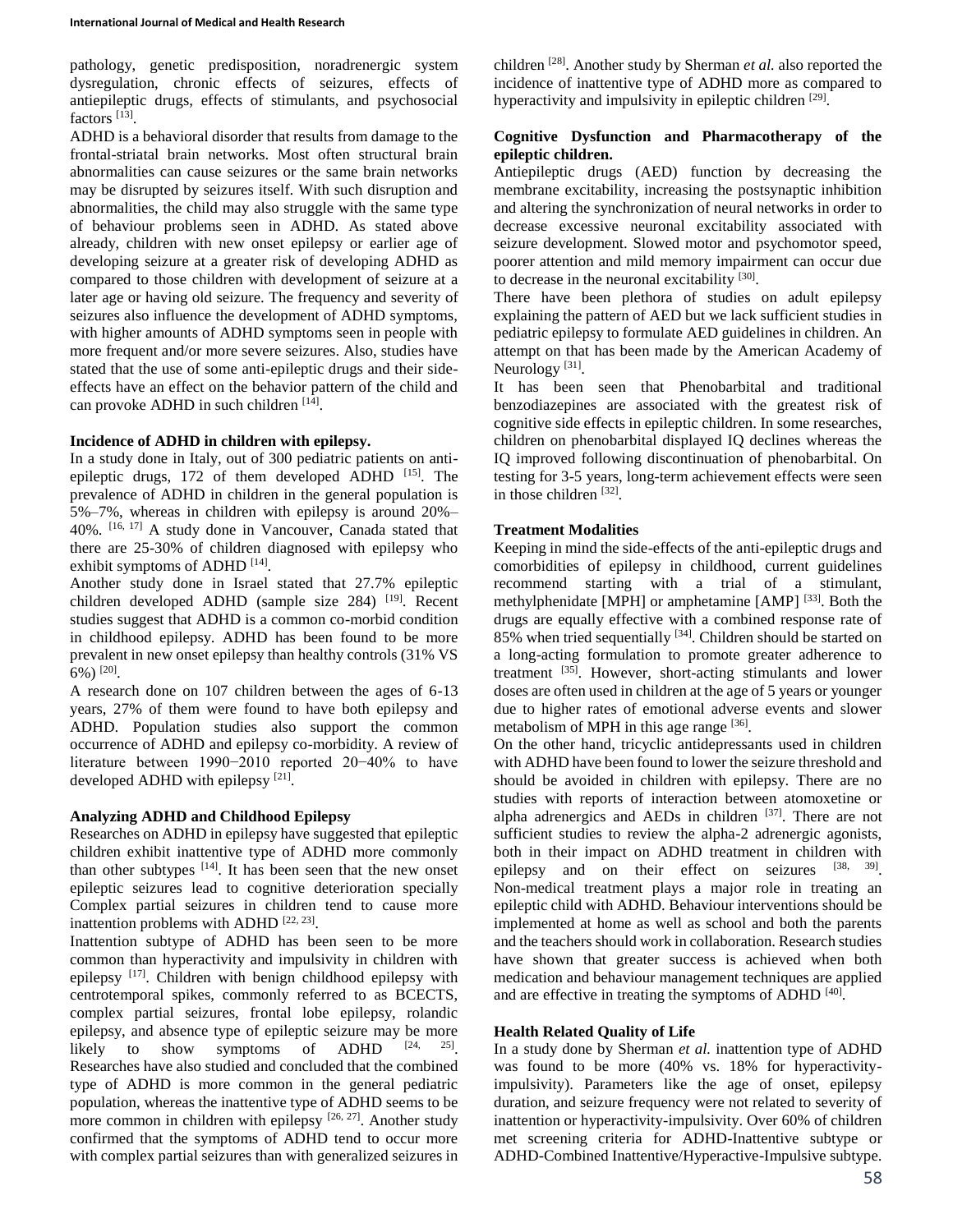pathology, genetic predisposition, noradrenergic system dysregulation, chronic effects of seizures, effects of antiepileptic drugs, effects of stimulants, and psychosocial factors<sup>[13]</sup>.

ADHD is a behavioral disorder that results from damage to the frontal-striatal brain networks. Most often structural brain abnormalities can cause seizures or the same brain networks may be disrupted by seizures itself. With such disruption and abnormalities, the child may also struggle with the same type of behaviour problems seen in ADHD. As stated above already, children with new onset epilepsy or earlier age of developing seizure at a greater risk of developing ADHD as compared to those children with development of seizure at a later age or having old seizure. The frequency and severity of seizures also influence the development of ADHD symptoms, with higher amounts of ADHD symptoms seen in people with more frequent and/or more severe seizures. Also, studies have stated that the use of some anti-epileptic drugs and their sideeffects have an effect on the behavior pattern of the child and can provoke ADHD in such children [14].

### **Incidence of ADHD in children with epilepsy.**

In a study done in Italy, out of 300 pediatric patients on antiepileptic drugs,  $172$  of them developed ADHD  $^{[15]}$ . The prevalence of ADHD in children in the general population is 5%–7%, whereas in children with epilepsy is around 20%– 40%. [16, 17] A study done in Vancouver, Canada stated that there are 25-30% of children diagnosed with epilepsy who exhibit symptoms of ADHD  $^{[14]}$ .

Another study done in Israel stated that 27.7% epileptic children developed ADHD (sample size 284) [19]. Recent studies suggest that ADHD is a common co-morbid condition in childhood epilepsy. ADHD has been found to be more prevalent in new onset epilepsy than healthy controls (31% VS 6%)  $^{[20]}$ .

A research done on 107 children between the ages of 6-13 years, 27% of them were found to have both epilepsy and ADHD. Population studies also support the common occurrence of ADHD and epilepsy co-morbidity. A review of literature between 1990−2010 reported 20−40% to have developed ADHD with epilepsy  $[21]$ .

## **Analyzing ADHD and Childhood Epilepsy**

Researches on ADHD in epilepsy have suggested that epileptic children exhibit inattentive type of ADHD more commonly than other subtypes  $[14]$ . It has been seen that the new onset epileptic seizures lead to cognitive deterioration specially Complex partial seizures in children tend to cause more inattention problems with ADHD  $[22, 23]$ .

Inattention subtype of ADHD has been seen to be more common than hyperactivity and impulsivity in children with epilepsy <sup>[17]</sup>. Children with benign childhood epilepsy with centrotemporal spikes, commonly referred to as BCECTS, complex partial seizures, frontal lobe epilepsy, rolandic epilepsy, and absence type of epileptic seizure may be more likely to show symptoms of ADHD  $[24, 25]$ 25] Researches have also studied and concluded that the combined type of ADHD is more common in the general pediatric population, whereas the inattentive type of ADHD seems to be more common in children with epilepsy  $[26, 27]$ . Another study confirmed that the symptoms of ADHD tend to occur more with complex partial seizures than with generalized seizures in

children [28] . Another study by Sherman *et al.* also reported the incidence of inattentive type of ADHD more as compared to hyperactivity and impulsivity in epileptic children [29].

## **Cognitive Dysfunction and Pharmacotherapy of the epileptic children.**

Antiepileptic drugs (AED) function by decreasing the membrane excitability, increasing the postsynaptic inhibition and altering the synchronization of neural networks in order to decrease excessive neuronal excitability associated with seizure development. Slowed motor and psychomotor speed, poorer attention and mild memory impairment can occur due to decrease in the neuronal excitability [30].

There have been plethora of studies on adult epilepsy explaining the pattern of AED but we lack sufficient studies in pediatric epilepsy to formulate AED guidelines in children. An attempt on that has been made by the American Academy of Neurology<sup>[31]</sup>.

It has been seen that Phenobarbital and traditional benzodiazepines are associated with the greatest risk of cognitive side effects in epileptic children. In some researches, children on phenobarbital displayed IQ declines whereas the IQ improved following discontinuation of phenobarbital. On testing for 3-5 years, long-term achievement effects were seen in those children [32].

## **Treatment Modalities**

Keeping in mind the side-effects of the anti-epileptic drugs and comorbidities of epilepsy in childhood, current guidelines recommend starting with a trial of a stimulant, methylphenidate [MPH] or amphetamine [AMP]<sup>[33]</sup>. Both the drugs are equally effective with a combined response rate of 85% when tried sequentially <sup>[34]</sup>. Children should be started on a long-acting formulation to promote greater adherence to treatment <sup>[35]</sup>. However, short-acting stimulants and lower doses are often used in children at the age of 5 years or younger due to higher rates of emotional adverse events and slower metabolism of MPH in this age range [36].

On the other hand, tricyclic antidepressants used in children with ADHD have been found to lower the seizure threshold and should be avoided in children with epilepsy. There are no studies with reports of interaction between atomoxetine or alpha adrenergics and AEDs in children [37]. There are not sufficient studies to review the alpha-2 adrenergic agonists, both in their impact on ADHD treatment in children with epilepsy and on their effect on seizures [38, 39]. Non-medical treatment plays a major role in treating an epileptic child with ADHD. Behaviour interventions should be implemented at home as well as school and both the parents and the teachers should work in collaboration. Research studies have shown that greater success is achieved when both medication and behaviour management techniques are applied and are effective in treating the symptoms of ADHD [40].

#### **Health Related Quality of Life**

In a study done by Sherman *et al.* inattention type of ADHD was found to be more (40% vs. 18% for hyperactivityimpulsivity). Parameters like the age of onset, epilepsy duration, and seizure frequency were not related to severity of inattention or hyperactivity-impulsivity. Over 60% of children met screening criteria for ADHD-Inattentive subtype or ADHD-Combined Inattentive/Hyperactive-Impulsive subtype.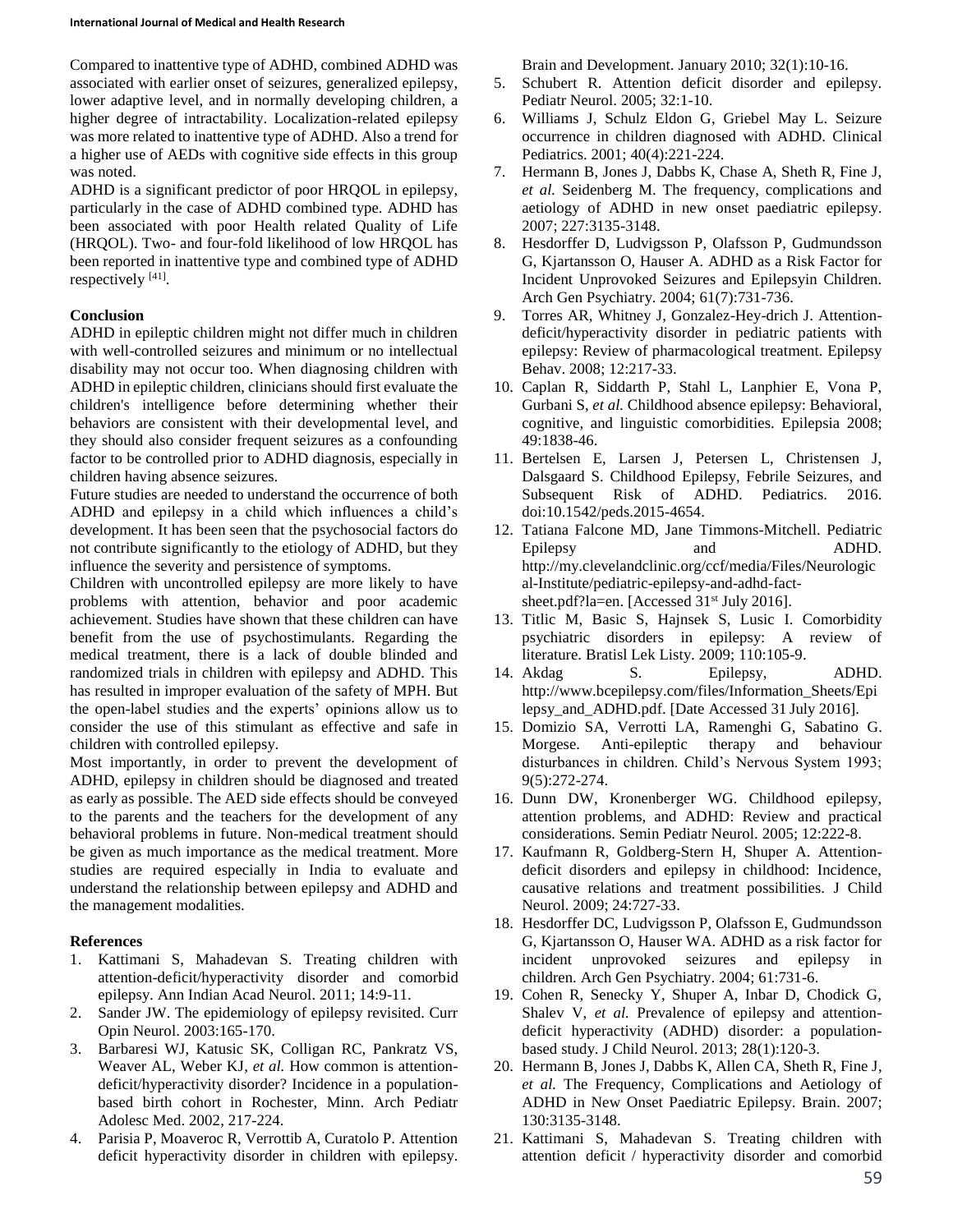Compared to inattentive type of ADHD, combined ADHD was associated with earlier onset of seizures, generalized epilepsy, lower adaptive level, and in normally developing children, a higher degree of intractability. Localization-related epilepsy was more related to inattentive type of ADHD. Also a trend for a higher use of AEDs with cognitive side effects in this group was noted.

ADHD is a significant predictor of poor HRQOL in epilepsy, particularly in the case of ADHD combined type. ADHD has been associated with poor Health related Quality of Life (HRQOL). Two- and four-fold likelihood of low HRQOL has been reported in inattentive type and combined type of ADHD respectively [41].

## **Conclusion**

ADHD in epileptic children might not differ much in children with well-controlled seizures and minimum or no intellectual disability may not occur too. When diagnosing children with ADHD in epileptic children, clinicians should first evaluate the children's intelligence before determining whether their behaviors are consistent with their developmental level, and they should also consider frequent seizures as a confounding factor to be controlled prior to ADHD diagnosis, especially in children having absence seizures.

Future studies are needed to understand the occurrence of both ADHD and epilepsy in a child which influences a child's development. It has been seen that the psychosocial factors do not contribute significantly to the etiology of ADHD, but they influence the severity and persistence of symptoms.

Children with uncontrolled epilepsy are more likely to have problems with attention, behavior and poor academic achievement. Studies have shown that these children can have benefit from the use of psychostimulants. Regarding the medical treatment, there is a lack of double blinded and randomized trials in children with epilepsy and ADHD. This has resulted in improper evaluation of the safety of MPH. But the open-label studies and the experts' opinions allow us to consider the use of this stimulant as effective and safe in children with controlled epilepsy.

Most importantly, in order to prevent the development of ADHD, epilepsy in children should be diagnosed and treated as early as possible. The AED side effects should be conveyed to the parents and the teachers for the development of any behavioral problems in future. Non-medical treatment should be given as much importance as the medical treatment. More studies are required especially in India to evaluate and understand the relationship between epilepsy and ADHD and the management modalities.

## **References**

- 1. Kattimani S, Mahadevan S. Treating children with attention-deficit/hyperactivity disorder and comorbid epilepsy. Ann Indian Acad Neurol. 2011; 14:9-11.
- 2. Sander JW. The epidemiology of epilepsy revisited. Curr Opin Neurol. 2003:165-170.
- 3. Barbaresi WJ, Katusic SK, Colligan RC, Pankratz VS, Weaver AL, Weber KJ, *et al.* How common is attentiondeficit/hyperactivity disorder? Incidence in a populationbased birth cohort in Rochester, Minn. Arch Pediatr Adolesc Med. 2002, 217-224.
- 4. Parisia P, Moaveroc R, Verrottib A, Curatolo P. Attention deficit hyperactivity disorder in children with epilepsy.

Brain and Development. January 2010; 32(1):10-16.

- 5. Schubert R. Attention deficit disorder and epilepsy. Pediatr Neurol. 2005; 32:1-10.
- 6. Williams J, Schulz Eldon G, Griebel May L. Seizure occurrence in children diagnosed with ADHD. Clinical Pediatrics. 2001; 40(4):221-224.
- 7. Hermann B, Jones J, Dabbs K, Chase A, Sheth R, Fine J, *et al.* Seidenberg M. The frequency, complications and aetiology of ADHD in new onset paediatric epilepsy. 2007; 227:3135-3148.
- 8. Hesdorffer D, Ludvigsson P, Olafsson P, Gudmundsson G, Kjartansson O, Hauser A. ADHD as a Risk Factor for Incident Unprovoked Seizures and Epilepsyin Children. Arch Gen Psychiatry. 2004; 61(7):731-736.
- 9. Torres AR, Whitney J, Gonzalez-Hey-drich J. Attentiondeficit/hyperactivity disorder in pediatric patients with epilepsy: Review of pharmacological treatment. Epilepsy Behav. 2008; 12:217-33.
- 10. Caplan R, Siddarth P, Stahl L, Lanphier E, Vona P, Gurbani S, *et al.* Childhood absence epilepsy: Behavioral, cognitive, and linguistic comorbidities. Epilepsia 2008; 49:1838-46.
- 11. Bertelsen E, Larsen J, Petersen L, Christensen J, Dalsgaard S. Childhood Epilepsy, Febrile Seizures, and Subsequent Risk of ADHD. Pediatrics. 2016. doi:10.1542/peds.2015-4654.
- 12. Tatiana Falcone MD, Jane Timmons-Mitchell. Pediatric Epilepsy and ADHD. http://my.clevelandclinic.org/ccf/media/Files/Neurologic al-Institute/pediatric-epilepsy-and-adhd-factsheet.pdf?la=en. [Accessed 31<sup>st</sup> July 2016].
- 13. Titlic M, Basic S, Hajnsek S, Lusic I. Comorbidity psychiatric disorders in epilepsy: A review of literature. Bratisl Lek Listy. 2009; 110:105-9.
- 14. Akdag S. Epilepsy, ADHD. http://www.bcepilepsy.com/files/Information\_Sheets/Epi lepsy\_and\_ADHD.pdf. [Date Accessed 31 July 2016].
- 15. Domizio SA, Verrotti LA, Ramenghi G, Sabatino G. Morgese. Anti-epileptic therapy and behaviour disturbances in children. Child's Nervous System 1993; 9(5):272-274.
- 16. Dunn DW, Kronenberger WG. Childhood epilepsy, attention problems, and ADHD: Review and practical considerations. Semin Pediatr Neurol. 2005; 12:222-8.
- 17. Kaufmann R, Goldberg-Stern H, Shuper A. Attentiondeficit disorders and epilepsy in childhood: Incidence, causative relations and treatment possibilities. J Child Neurol. 2009; 24:727-33.
- 18. Hesdorffer DC, Ludvigsson P, Olafsson E, Gudmundsson G, Kjartansson O, Hauser WA. ADHD as a risk factor for incident unprovoked seizures and epilepsy in children. Arch Gen Psychiatry. 2004; 61:731-6.
- 19. Cohen R, Senecky Y, Shuper A, Inbar D, Chodick G, Shalev V, *et al.* Prevalence of epilepsy and attentiondeficit hyperactivity (ADHD) disorder: a populationbased study. J Child Neurol. 2013; 28(1):120-3.
- 20. Hermann B, Jones J, Dabbs K, Allen CA, Sheth R, Fine J, *et al.* The Frequency, Complications and Aetiology of ADHD in New Onset Paediatric Epilepsy. Brain. 2007; 130:3135-3148.
- 21. Kattimani S, Mahadevan S. Treating children with attention deficit / hyperactivity disorder and comorbid